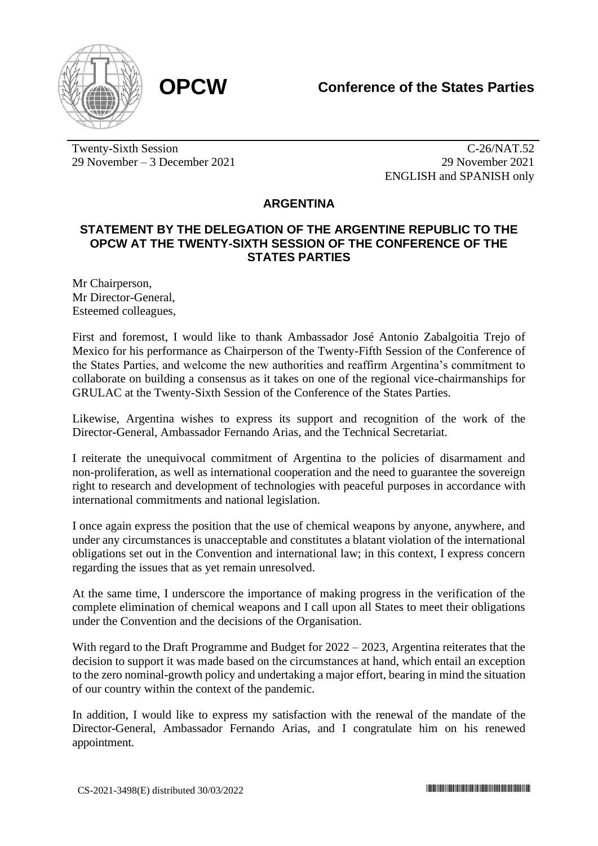

Twenty-Sixth Session 29 November – 3 December 2021

C-26/NAT.52 29 November 2021 ENGLISH and SPANISH only

## **ARGENTINA**

## **STATEMENT BY THE DELEGATION OF THE ARGENTINE REPUBLIC TO THE OPCW AT THE TWENTY-SIXTH SESSION OF THE CONFERENCE OF THE STATES PARTIES**

Mr Chairperson, Mr Director-General, Esteemed colleagues,

First and foremost, I would like to thank Ambassador José Antonio Zabalgoitia Trejo of Mexico for his performance as Chairperson of the Twenty-Fifth Session of the Conference of the States Parties, and welcome the new authorities and reaffirm Argentina's commitment to collaborate on building a consensus as it takes on one of the regional vice-chairmanships for GRULAC at the Twenty-Sixth Session of the Conference of the States Parties.

Likewise, Argentina wishes to express its support and recognition of the work of the Director-General, Ambassador Fernando Arias, and the Technical Secretariat.

I reiterate the unequivocal commitment of Argentina to the policies of disarmament and non-proliferation, as well as international cooperation and the need to guarantee the sovereign right to research and development of technologies with peaceful purposes in accordance with international commitments and national legislation.

I once again express the position that the use of chemical weapons by anyone, anywhere, and under any circumstances is unacceptable and constitutes a blatant violation of the international obligations set out in the Convention and international law; in this context, I express concern regarding the issues that as yet remain unresolved.

At the same time, I underscore the importance of making progress in the verification of the complete elimination of chemical weapons and I call upon all States to meet their obligations under the Convention and the decisions of the Organisation.

With regard to the Draft Programme and Budget for  $2022 - 2023$ , Argentina reiterates that the decision to support it was made based on the circumstances at hand, which entail an exception to the zero nominal-growth policy and undertaking a major effort, bearing in mind the situation of our country within the context of the pandemic.

In addition, I would like to express my satisfaction with the renewal of the mandate of the Director-General, Ambassador Fernando Arias, and I congratulate him on his renewed appointment.